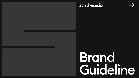## synthesesia

# Brond Guideline

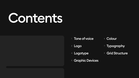- 
- Grid Structure

# Contents

- Tone of voice
- Colour
- Logo Typography
- Logotype
- <sup>5</sup> Graphic Devices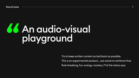Tone of voice and the set of voice and the set of the set of the set of the set of the set of the set of the s

# *KAn audio-visual* playground

Try to keep written content as laid back as possible. This is an experimental product... use words to reinforce that. Rule-breaking, fun, energy, mystery, f\*ck the status quo.

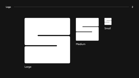#### Logo 2



Large

### Medium



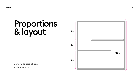Logo



# Proportions & layout

Uniform square-shape x = border size

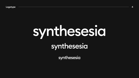#### Logotype 4

# synthesesia synthesesia

synthesesia

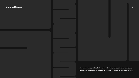#### **Graphic Devices 5 and 5 and 5 and 5 and 5 and 5 and 5 and 5 and 5 and 5 and 5 and 5 and 5 and 5 and 5 and 5 and 5 and 5 and 5 and 5 and 5 and 5 and 6 and 6 and 6 and 6 and 6 and 6 and 6 and 6 and 6 and 6 and 6 and 6 and 6**

The logo can be extended into a wide range of patterns and shapes. Freely use snippets of the logo to fill out space and to add personality.



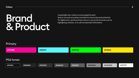# Brand & Product

Using bright neon colours is encouraged for print.

- Stick to monochrome black and white for formal documents like this!
- For digital work, use the primary colours in very small amounts, such as
- highlighting a button, or to call out important information.

Primary

## Mid-tones



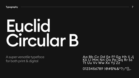#### Typography

# Euchel Circular B

A super versatile typeface for both print & digital



# Aa Bb Cc Dd Ee Ff Gg Hh Ii Jj<br>Kk Ll Mm Nn Oo Pp Qq Rr Ss<br>Tt Uu Vv Ww Xx Yy Zz

0123456789!@#\$%&\*?;:"{}



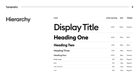

| Level                  | Letter-spacing | <b>Size</b>  | Weight         |
|------------------------|----------------|--------------|----------------|
| Display Title          | $-4.5%$        | <b>120px</b> | <b>Medium</b>  |
| <b>Heading One</b>     | $-2.5%$        | 80px         | <b>Bold</b>    |
| <b>Heading Two</b>     | $-1.5%$        | 48px         | <b>Bold</b>    |
| <b>Heading Three</b>   | $-1.5%$        | 32px         | <b>Medium</b>  |
| <b>Heading Four</b>    | $-0.5%$        | 28px         | <b>Medium</b>  |
| <b>Body Large</b>      | 0%             | 20px         | <b>Regular</b> |
| <b>Body</b>            | 0%             | 16px         | <b>Regular</b> |
| <b>LABEL UPPERCASE</b> | 8%             | 12px         | <b>Medium</b>  |
| Small                  | 0%             | 12px         | <b>Regular</b> |



## Hierarchy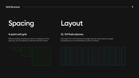### 4-point soft grid 12 / 24 fluid columns

When building interfaces, work in multiples of 4 for spacing, as it produces a natural looking rhythm.





Use either 12 or 24 columns for page layouts, which gives enough breathing room and flexibility to place content.





## Spacing Layout